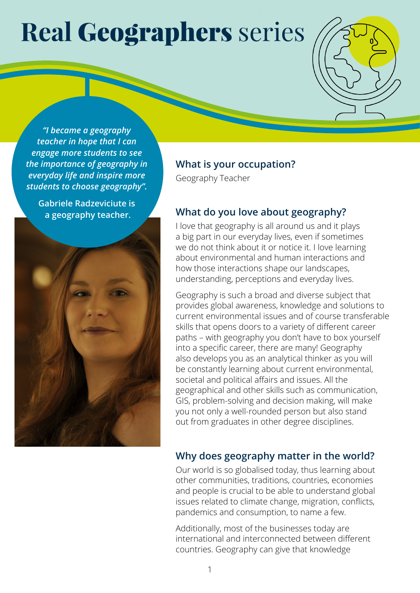# **Real** Geographers series

*"I became a geography teacher in hope that I can engage more students to see the importance of geography in everyday life and inspire more students to choose geography".*

**Gabriele Radzeviciute is a geography teacher.** 



#### **What is your occupation?**

Geography Teacher

### **What do you love about geography?**

I love that geography is all around us and it plays a big part in our everyday lives, even if sometimes we do not think about it or notice it. I love learning about environmental and human interactions and how those interactions shape our landscapes, understanding, perceptions and everyday lives.

Geography is such a broad and diverse subject that provides global awareness, knowledge and solutions to current environmental issues and of course transferable skills that opens doors to a variety of different career paths – with geography you don't have to box yourself into a specific career, there are many! Geography also develops you as an analytical thinker as you will be constantly learning about current environmental, societal and political affairs and issues. All the geographical and other skills such as communication, GIS, problem-solving and decision making, will make you not only a well-rounded person but also stand out from graduates in other degree disciplines.

### **Why does geography matter in the world?**

Our world is so globalised today, thus learning about other communities, traditions, countries, economies and people is crucial to be able to understand global issues related to climate change, migration, conflicts, pandemics and consumption, to name a few.

Additionally, most of the businesses today are international and interconnected between different countries. Geography can give that knowledge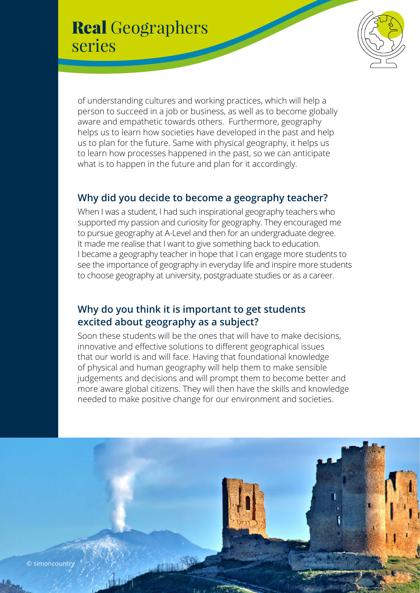# Real Geographers series



of understanding cultures and working practices, which will help a person to succeed in a job or business, as well as to become globally aware and empathetic towards others. Furthermore, geography helps us to learn how societies have developed in the past and help us to plan for the future. Same with physical geography, it helps us to learn how processes happened in the past, so we can anticipate what is to happen in the future and plan for it accordingly.

### **Why did you decide to become a geography teacher?**

When I was a student, I had such inspirational geography teachers who supported my passion and curiosity for geography. They encouraged me to pursue geography at A-Level and then for an undergraduate degree. It made me realise that I want to give something back to education. I became a geography teacher in hope that I can engage more students to see the importance of geography in everyday life and inspire more students to choose geography at university, postgraduate studies or as a career.

### **Why do you think it is important to get students excited about geography as a subject?**

Soon these students will be the ones that will have to make decisions, innovative and effective solutions to different geographical issues that our world is and will face. Having that foundational knowledge of physical and human geography will help them to make sensible judgements and decisions and will prompt them to become better and more aware global citizens. They will then have the skills and knowledge needed to make positive change for our environment and societies.

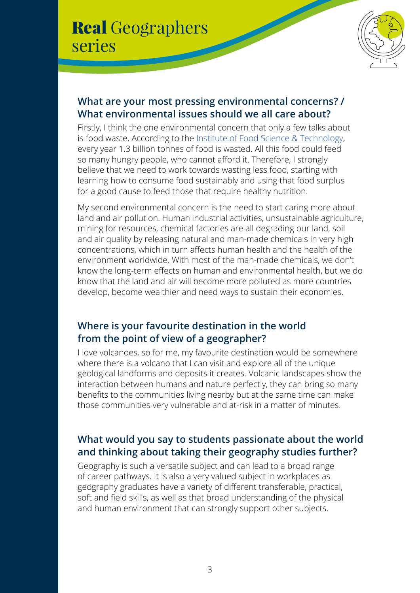# Real Geographers series



### **What are your most pressing environmental concerns? / What environmental issues should we all care about?**

Firstly, I think the one environmental concern that only a few talks about is food waste. According to the [Institute of Food Science & Technology,](https://www.ifst.org/) every year 1.3 billion tonnes of food is wasted. All this food could feed so many hungry people, who cannot afford it. Therefore, I strongly believe that we need to work towards wasting less food, starting with learning how to consume food sustainably and using that food surplus for a good cause to feed those that require healthy nutrition.

My second environmental concern is the need to start caring more about land and air pollution. Human industrial activities, unsustainable agriculture, mining for resources, chemical factories are all degrading our land, soil and air quality by releasing natural and man-made chemicals in very high concentrations, which in turn affects human health and the health of the environment worldwide. With most of the man-made chemicals, we don't know the long-term effects on human and environmental health, but we do know that the land and air will become more polluted as more countries develop, become wealthier and need ways to sustain their economies.

### **Where is your favourite destination in the world from the point of view of a geographer?**

I love volcanoes, so for me, my favourite destination would be somewhere where there is a volcano that I can visit and explore all of the unique geological landforms and deposits it creates. Volcanic landscapes show the interaction between humans and nature perfectly, they can bring so many benefits to the communities living nearby but at the same time can make those communities very vulnerable and at-risk in a matter of minutes.

## **What would you say to students passionate about the world and thinking about taking their geography studies further?**

Geography is such a versatile subject and can lead to a broad range of career pathways. It is also a very valued subject in workplaces as geography graduates have a variety of different transferable, practical, soft and field skills, as well as that broad understanding of the physical and human environment that can strongly support other subjects.